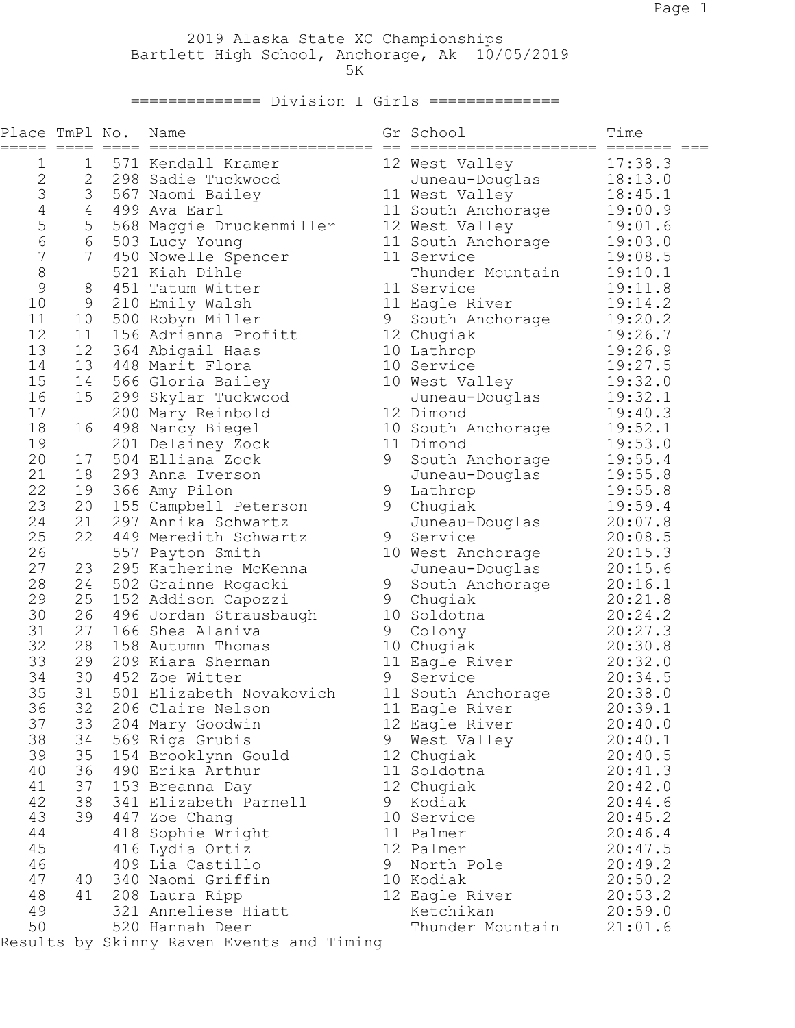2019 Alaska State XC Championships Bartlett High School, Anchorage, Ak 10/05/2019  $5K$ 

## ============== Division I Girls ==============

| Place TmPl No. |                | Name                                      |   | Gr School          | Time    |
|----------------|----------------|-------------------------------------------|---|--------------------|---------|
| 1              | $\mathbf 1$    | 571 Kendall Kramer                        |   | 12 West Valley     | 17:38.3 |
| $\mathbf{2}$   | $\overline{2}$ | 298 Sadie Tuckwood                        |   | Juneau-Douglas     | 18:13.0 |
| 3              | 3              | 567 Naomi Bailey                          |   | 11 West Valley     | 18:45.1 |
| $\sqrt{4}$     | $4 -$          | 499 Ava Earl                              |   | 11 South Anchorage | 19:00.9 |
| 5              | 5              | 568 Maggie Druckenmiller                  |   | 12 West Valley     | 19:01.6 |
| $\sqrt{6}$     | 6              | 503 Lucy Young                            |   | 11 South Anchorage | 19:03.0 |
| $\overline{7}$ | 7 <sup>1</sup> | 450 Nowelle Spencer                       |   | 11 Service         | 19:08.5 |
| $\,8\,$        |                | 521 Kiah Dihle                            |   | Thunder Mountain   | 19:10.1 |
| $\mathcal{G}$  | 8              | 451 Tatum Witter                          |   | 11 Service         | 19:11.8 |
| 10             | 9              | 210 Emily Walsh                           |   | 11 Eagle River     | 19:14.2 |
| 11             | 10             | 500 Robyn Miller                          | 9 | South Anchorage    | 19:20.2 |
| 12             | 11             | 156 Adrianna Profitt                      |   | 12 Chugiak         | 19:26.7 |
| 13             | 12             | 364 Abigail Haas                          |   | 10 Lathrop         | 19:26.9 |
| 14             | 13             | 448 Marit Flora                           |   | 10 Service         | 19:27.5 |
| 15             | 14             | 566 Gloria Bailey                         |   | 10 West Valley     | 19:32.0 |
| 16             | 15             | 299 Skylar Tuckwood                       |   | Juneau-Douglas     | 19:32.1 |
| 17             |                | 200 Mary Reinbold                         |   | 12 Dimond          | 19:40.3 |
| 18             | 16             | 498 Nancy Biegel                          |   | 10 South Anchorage | 19:52.1 |
| 19             |                | 201 Delainey Zock                         |   | 11 Dimond          | 19:53.0 |
| 20             | 17             | 504 Elliana Zock                          | 9 | South Anchorage    | 19:55.4 |
| 21             | 18             | 293 Anna Iverson                          |   | Juneau-Douglas     | 19:55.8 |
| 22             | 19             | 366 Amy Pilon                             | 9 | Lathrop            | 19:55.8 |
| 23             | 20             | 155 Campbell Peterson                     | 9 | Chugiak            | 19:59.4 |
| 24             | 21             | 297 Annika Schwartz                       |   | Juneau-Douglas     | 20:07.8 |
| 25             | 22             | 449 Meredith Schwartz                     | 9 | Service            | 20:08.5 |
| 26             |                | 557 Payton Smith                          |   | 10 West Anchorage  | 20:15.3 |
| 27             | 23             | 295 Katherine McKenna                     |   | Juneau-Douglas     | 20:15.6 |
| 28             | 24             | 502 Grainne Rogacki                       | 9 | South Anchorage    | 20:16.1 |
| 29             | 25             | 152 Addison Capozzi                       | 9 | Chugiak            | 20:21.8 |
| 30             | 26             | 496 Jordan Strausbaugh                    |   | 10 Soldotna        | 20:24.2 |
| 31             | 27             | 166 Shea Alaniva                          | 9 | Colony             | 20:27.3 |
| 32             | 28             | 158 Autumn Thomas                         |   | 10 Chugiak         | 20:30.8 |
| 33             | 29             | 209 Kiara Sherman                         |   | 11 Eagle River     | 20:32.0 |
| 34             | 30             | 452 Zoe Witter                            | 9 | Service            | 20:34.5 |
| 35             | 31             | 501 Elizabeth Novakovich                  |   | 11 South Anchorage | 20:38.0 |
| 36             |                | 32 206 Claire Nelson                      |   | 11 Eagle River     | 20:39.1 |
| 37             | 33             |                                           |   |                    |         |
| 38             |                | 204 Mary Goodwin                          |   | 12 Eagle River     | 20:40.0 |
|                | 34             | 569 Riga Grubis                           | 9 | West Valley        | 20:40.1 |
| 39             | 35             | 154 Brooklynn Gould                       |   | 12 Chugiak         | 20:40.5 |
| 40             | 36             | 490 Erika Arthur                          |   | 11 Soldotna        | 20:41.3 |
| 41             | 37             | 153 Breanna Day                           |   | 12 Chugiak         | 20:42.0 |
| 42             | 38             | 341 Elizabeth Parnell                     | 9 | Kodiak             | 20:44.6 |
| 43             | 39             | 447 Zoe Chang                             |   | 10 Service         | 20:45.2 |
| 44             |                | 418 Sophie Wright                         |   | 11 Palmer          | 20:46.4 |
| 45             |                | 416 Lydia Ortiz                           |   | 12 Palmer          | 20:47.5 |
| 46             |                | 409 Lia Castillo                          | 9 | North Pole         | 20:49.2 |
| 47             | 40             | 340 Naomi Griffin                         |   | 10 Kodiak          | 20:50.2 |
| 48             | 41             | 208 Laura Ripp                            |   | 12 Eagle River     | 20:53.2 |
| 49             |                | 321 Anneliese Hiatt                       |   | Ketchikan          | 20:59.0 |
| 50             |                | 520 Hannah Deer                           |   | Thunder Mountain   | 21:01.6 |
|                |                | Results by Skinny Raven Events and Timing |   |                    |         |